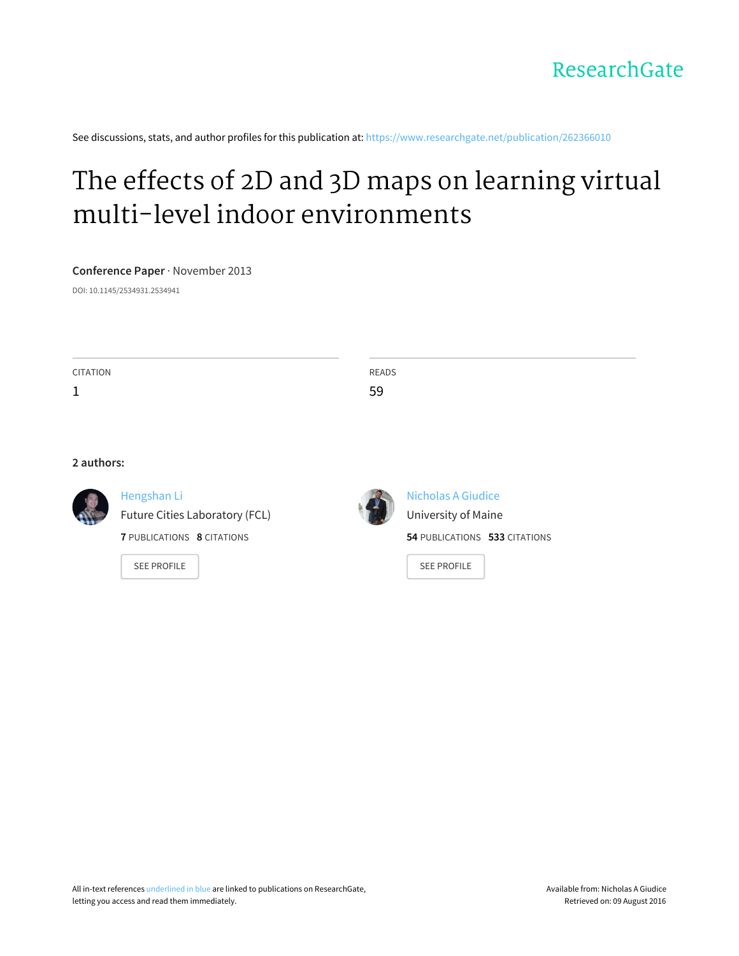

See discussions, stats, and author profiles for this publication at: [https://www.researchgate.net/publication/262366010](https://www.researchgate.net/publication/262366010_The_effects_of_2D_and_3D_maps_on_learning_virtual_multi-level_indoor_environments?enrichId=rgreq-d869852e8b5a2b5ebe048920933b4998-XXX&enrichSource=Y292ZXJQYWdlOzI2MjM2NjAxMDtBUzoyODMwMjExNDA4NzMyMTdAMTQ0NDQ4ODkwNjI4Mw%3D%3D&el=1_x_2)

# The effects of 2D and 3D maps on learning virtual multi-level indoor [environments](https://www.researchgate.net/publication/262366010_The_effects_of_2D_and_3D_maps_on_learning_virtual_multi-level_indoor_environments?enrichId=rgreq-d869852e8b5a2b5ebe048920933b4998-XXX&enrichSource=Y292ZXJQYWdlOzI2MjM2NjAxMDtBUzoyODMwMjExNDA4NzMyMTdAMTQ0NDQ4ODkwNjI4Mw%3D%3D&el=1_x_3)

#### **Conference Paper** · November 2013

SEE [PROFILE](https://www.researchgate.net/profile/Hengshan_Li?enrichId=rgreq-d869852e8b5a2b5ebe048920933b4998-XXX&enrichSource=Y292ZXJQYWdlOzI2MjM2NjAxMDtBUzoyODMwMjExNDA4NzMyMTdAMTQ0NDQ4ODkwNjI4Mw%3D%3D&el=1_x_7)

DOI: 10.1145/2534931.2534941

| <b>CITATION</b> |                                   | <b>READS</b> |                               |  |
|-----------------|-----------------------------------|--------------|-------------------------------|--|
| $\mathbf 1$     |                                   | 59           |                               |  |
|                 |                                   |              |                               |  |
|                 |                                   |              |                               |  |
| 2 authors:      |                                   |              |                               |  |
|                 | Hengshan Li                       |              | Nicholas A Giudice            |  |
|                 | Future Cities Laboratory (FCL)    |              | University of Maine           |  |
|                 | <b>7 PUBLICATIONS 8 CITATIONS</b> |              | 54 PUBLICATIONS 533 CITATIONS |  |
|                 |                                   |              |                               |  |

SEE [PROFILE](https://www.researchgate.net/profile/Nicholas_Giudice?enrichId=rgreq-d869852e8b5a2b5ebe048920933b4998-XXX&enrichSource=Y292ZXJQYWdlOzI2MjM2NjAxMDtBUzoyODMwMjExNDA4NzMyMTdAMTQ0NDQ4ODkwNjI4Mw%3D%3D&el=1_x_7)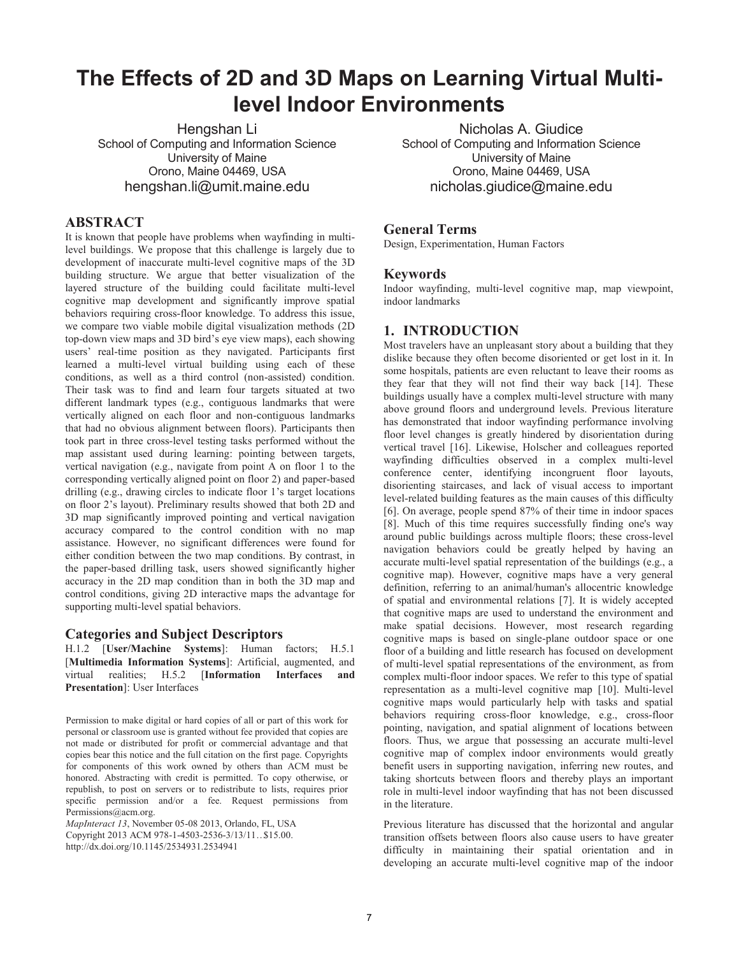# **The Effects of 2D and 3D Maps on Learning Virtual Multilevel Indoor Environments**

Hengshan Li School of Computing and Information Science University of Maine Orono, Maine 04469, USA hengshan.li@umit.maine.edu

# **ABSTRACT**

It is known that people have problems when wayfinding in multilevel buildings. We propose that this challenge is largely due to development of inaccurate multi-level cognitive maps of the 3D building structure. We argue that better visualization of the layered structure of the building could facilitate multi-level cognitive map development and significantly improve spatial behaviors requiring cross-floor knowledge. To address this issue, we compare two viable mobile digital visualization methods (2D top-down view maps and 3D bird's eye view maps), each showing users' real-time position as they navigated. Participants first learned a multi-level virtual building using each of these conditions, as well as a third control (non-assisted) condition. Their task was to find and learn four targets situated at two different landmark types (e.g., contiguous landmarks that were vertically aligned on each floor and non-contiguous landmarks that had no obvious alignment between floors). Participants then took part in three cross-level testing tasks performed without the map assistant used during learning: pointing between targets, vertical navigation (e.g., navigate from point A on floor 1 to the corresponding vertically aligned point on floor 2) and paper-based drilling (e.g., drawing circles to indicate floor 1's target locations on floor 2's layout). Preliminary results showed that both 2D and 3D map significantly improved pointing and vertical navigation accuracy compared to the control condition with no map assistance. However, no significant differences were found for either condition between the two map conditions. By contrast, in the paper-based drilling task, users showed significantly higher accuracy in the 2D map condition than in both the 3D map and control conditions, giving 2D interactive maps the advantage for supporting multi-level spatial behaviors.

#### **Categories and Subject Descriptors**

H.1.2 [**User/Machine Systems**]: Human factors; H.5.1 [**Multimedia Information Systems**]: Artificial, augmented, and virtual realities; H.5.2 [**Information Interfaces and Presentation**]: User Interfaces

Permission to make digital or hard copies of all or part of this work for personal or classroom use is granted without fee provided that copies are not made or distributed for profit or commercial advantage and that copies bear this notice and the full citation on the first page. Copyrights for components of this work owned by others than ACM must be honored. Abstracting with credit is permitted. To copy otherwise, or republish, to post on servers or to redistribute to lists, requires prior specific permission and/or a fee. Request permissions from Permissions@acm.org.

*MapInteract 13*, November 05-08 2013, Orlando, FL, USA Copyright 2013 ACM 978-1-4503-2536-3/13/11…\$15.00. http://dx.doi.org/10.1145/2534931.2534941

Nicholas A. Giudice School of Computing and Information Science University of Maine Orono, Maine 04469, USA nicholas.giudice@maine.edu

#### **General Terms**

Design, Experimentation, Human Factors

#### **Keywords**

Indoor wayfinding, multi-level cognitive map, map viewpoint, indoor landmarks

# **1. INTRODUCTION**

Most travelers have an unpleasant story about a building that they dislike because they often become disoriented or get lost in it. In some hospitals, patients are even reluctant to leave their rooms as they fear that they will not find their way back [14]. These buildings usually have a complex multi-level structure with many above ground floors and underground levels. Previous literature has demonstrated that indoor wayfinding performance involving floor level changes is greatly hindered by disorientation during vertical travel [16]. Likewise, Holscher and colleagues reported wayfinding difficulties observed in a complex multi-level conference center, identifying incongruent floor layouts, disorienting staircases, and lack of visual access to important level-related building features as the main causes of this difficulty [6]. On average, people spend 87% of their time in indoor spaces [8]. Much of this time requires successfully finding one's way around public buildings across multiple floors; these cross-level navigation behaviors could be greatly helped by having an accurate multi-level spatial representation of the buildings (e.g., a cognitive map). However, cognitive maps have a very general definition, referring to an animal/human's allocentric knowledge of spatial and environmental relations [7]. It is widely accepted that cognitive maps are used to understand the environment and make spatial decisions. However, most research regarding cognitive maps is based on single-plane outdoor space or one floor of a building and little research has focused on development of multi-level spatial representations of the environment, as from complex multi-floor indoor spaces. We refer to this type of spatial representation as a multi-level cognitive map [10]. Multi-level cognitive maps would particularly help with tasks and spatial behaviors requiring cross-floor knowledge, e.g., cross-floor pointing, navigation, and spatial alignment of locations between floors. Thus, we argue that possessing an accurate multi-level cognitive map of complex indoor environments would greatly benefit users in supporting navigation, inferring new routes, and taking shortcuts between floors and thereby plays an important role in multi-level indoor wayfinding that has not been discussed in the literature.

Previous literature has discussed that the horizontal and angular transition offsets between floors also cause users to have greater difficulty in maintaining their spatial orientation and in developing an accurate multi-level cognitive map of the indoor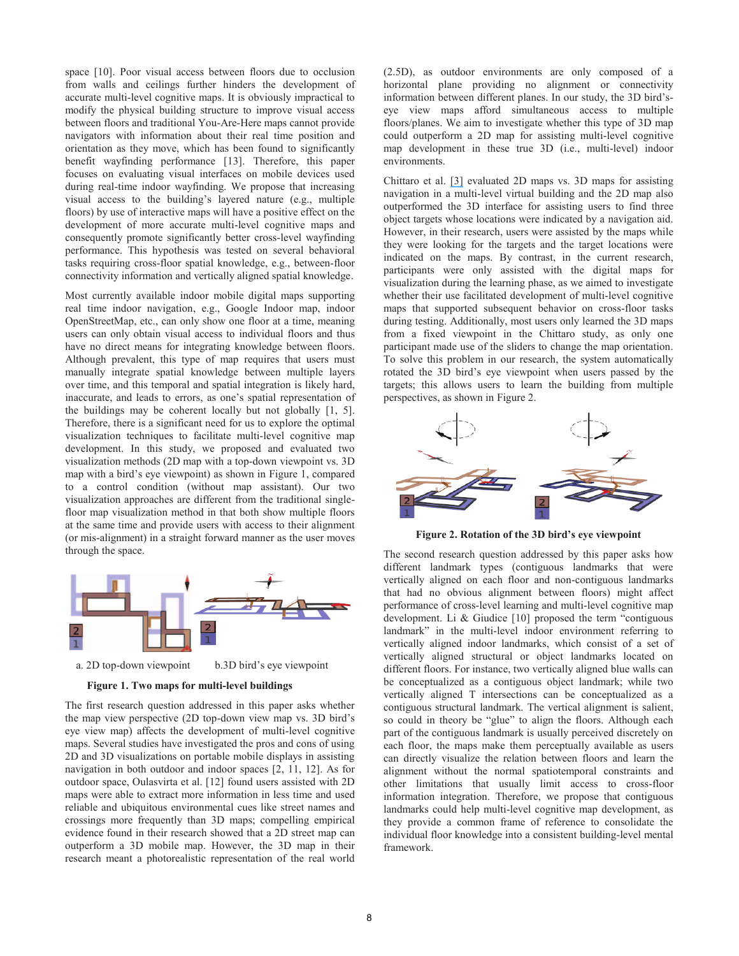space [10]. Poor visual access between floors due to occlusion from walls and ceilings further hinders the development of accurate multi-level cognitive maps. It is obviously impractical to modify the physical building structure to improve visual access between floors and traditional You-Are-Here maps cannot provide navigators with information about their real time position and orientation as they move, which has been found to significantly benefit wayfinding performance [13]. Therefore, this paper focuses on evaluating visual interfaces on mobile devices used during real-time indoor wayfinding. We propose that increasing visual access to the building's layered nature (e.g., multiple floors) by use of interactive maps will have a positive effect on the development of more accurate multi-level cognitive maps and consequently promote significantly better cross-level wayfinding performance. This hypothesis was tested on several behavioral tasks requiring cross-floor spatial knowledge, e.g., between-floor connectivity information and vertically aligned spatial knowledge.

Most currently available indoor mobile digital maps supporting real time indoor navigation, e.g., Google Indoor map, indoor OpenStreetMap, etc., can only show one floor at a time, meaning users can only obtain visual access to individual floors and thus have no direct means for integrating knowledge between floors. Although prevalent, this type of map requires that users must manually integrate spatial knowledge between multiple layers over time, and this temporal and spatial integration is likely hard, inaccurate, and leads to errors, as one's spatial representation of the buildings may be coherent locally but not globally [1, 5]. Therefore, there is a significant need for us to explore the optimal visualization techniques to facilitate multi-level cognitive map development. In this study, we proposed and evaluated two visualization methods (2D map with a top-down viewpoint vs. 3D map with a bird's eye viewpoint) as shown in Figure 1, compared to a control condition (without map assistant). Our two visualization approaches are different from the traditional singlefloor map visualization method in that both show multiple floors at the same time and provide users with access to their alignment (or mis-alignment) in a straight forward manner as the user moves through the space.



a. 2D top-down viewpoint b.3D bird's eye viewpoint

**Figure 1. Two maps for multi-level buildings** 

The first research question addressed in this paper asks whether the map view perspective (2D top-down view map vs. 3D bird's eye view map) affects the development of multi-level cognitive maps. Several studies have investigated the pros and cons of using 2D and 3D visualizations on portable mobile displays in assisting navigation in both outdoor and indoor spaces [2, 11, 12]. As for outdoor space, Oulasvirta et al. [12] found users assisted with 2D maps were able to extract more information in less time and used reliable and ubiquitous environmental cues like street names and crossings more frequently than 3D maps; compelling empirical evidence found in their research showed that a 2D street map can outperform a 3D mobile map. However, the 3D map in their research meant a photorealistic representation of the real world

(2.5D), as outdoor environments are only composed of a horizontal plane providing no alignment or connectivity information between different planes. In our study, the 3D bird'seye view maps afford simultaneous access to multiple floors/planes. We aim to investigate whether this type of 3D map could outperform a 2D map for assisting multi-level cognitive map development in these true 3D (i.e., multi-level) indoor environments.

Chittaro et al. [\[3\]](https://www.researchgate.net/publication/221314365_Navigation_aids_for_multi-floor_virtual_buildings_A_comparative_evaluation_of_two_approaches?el=1_x_8&enrichId=rgreq-d869852e8b5a2b5ebe048920933b4998-XXX&enrichSource=Y292ZXJQYWdlOzI2MjM2NjAxMDtBUzoyODMwMjExNDA4NzMyMTdAMTQ0NDQ4ODkwNjI4Mw==) evaluated 2D maps vs. 3D maps for assisting navigation in a multi-level virtual building and the 2D map also outperformed the 3D interface for assisting users to find three object targets whose locations were indicated by a navigation aid. However, in their research, users were assisted by the maps while they were looking for the targets and the target locations were indicated on the maps. By contrast, in the current research, participants were only assisted with the digital maps for visualization during the learning phase, as we aimed to investigate whether their use facilitated development of multi-level cognitive maps that supported subsequent behavior on cross-floor tasks during testing. Additionally, most users only learned the 3D maps from a fixed viewpoint in the Chittaro study, as only one participant made use of the sliders to change the map orientation. To solve this problem in our research, the system automatically rotated the 3D bird's eye viewpoint when users passed by the targets; this allows users to learn the building from multiple perspectives, as shown in Figure 2.



**Figure 2. Rotation of the 3D bird's eye viewpoint**

The second research question addressed by this paper asks how different landmark types (contiguous landmarks that were vertically aligned on each floor and non-contiguous landmarks that had no obvious alignment between floors) might affect performance of cross-level learning and multi-level cognitive map development. Li & Giudice [10] proposed the term "contiguous landmark" in the multi-level indoor environment referring to vertically aligned indoor landmarks, which consist of a set of vertically aligned structural or object landmarks located on different floors. For instance, two vertically aligned blue walls can be conceptualized as a contiguous object landmark; while two vertically aligned T intersections can be conceptualized as a contiguous structural landmark. The vertical alignment is salient, so could in theory be "glue" to align the floors. Although each part of the contiguous landmark is usually perceived discretely on each floor, the maps make them perceptually available as users can directly visualize the relation between floors and learn the alignment without the normal spatiotemporal constraints and other limitations that usually limit access to cross-floor information integration. Therefore, we propose that contiguous landmarks could help multi-level cognitive map development, as they provide a common frame of reference to consolidate the individual floor knowledge into a consistent building-level mental framework.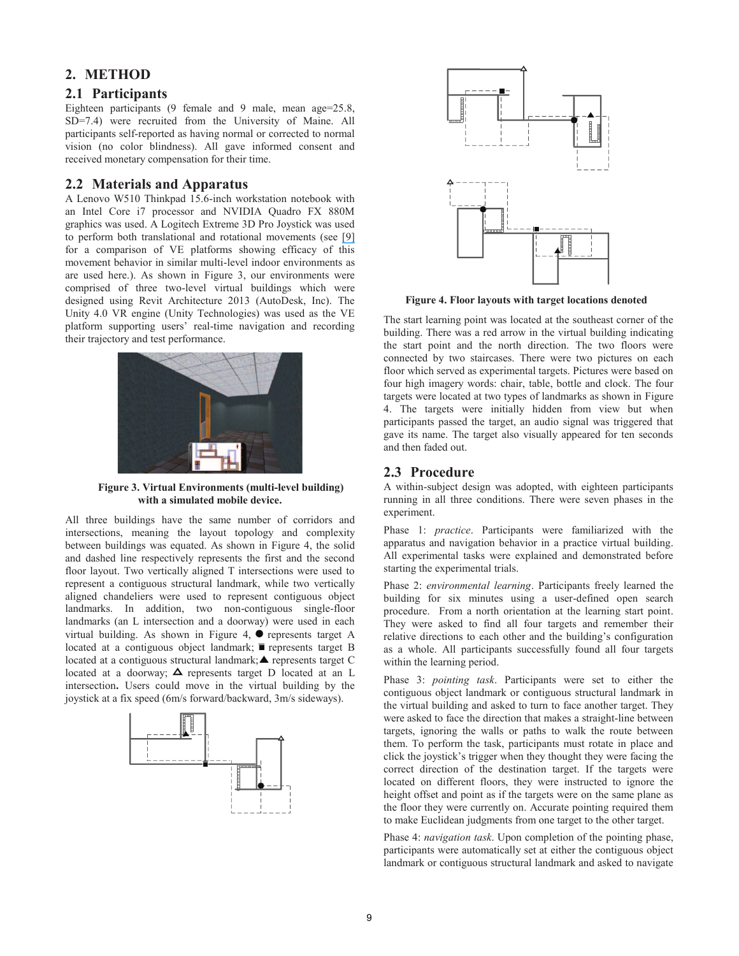# **2. METHOD**

#### **2.1 Participants**

Eighteen participants (9 female and 9 male, mean age=25.8, SD=7.4) were recruited from the University of Maine. All participants self-reported as having normal or corrected to normal vision (no color blindness). All gave informed consent and received monetary compensation for their time.

#### **2.2 Materials and Apparatus**

A Lenovo W510 Thinkpad 15.6-inch workstation notebook with an Intel Core i7 processor and NVIDIA Quadro FX 880M graphics was used. A Logitech Extreme 3D Pro Joystick was used to perform both translational and rotational movements (see [\[9\]](https://www.researchgate.net/publication/262285876_The_effects_of_immersion_and_body-based_rotation_on_learning_multi-level_indoor_virtual_environments?el=1_x_8&enrichId=rgreq-d869852e8b5a2b5ebe048920933b4998-XXX&enrichSource=Y292ZXJQYWdlOzI2MjM2NjAxMDtBUzoyODMwMjExNDA4NzMyMTdAMTQ0NDQ4ODkwNjI4Mw==) for a comparison of VE platforms showing efficacy of this movement behavior in similar multi-level indoor environments as are used here.). As shown in Figure 3, our environments were comprised of three two-level virtual buildings which were designed using Revit Architecture 2013 (AutoDesk, Inc). The Unity 4.0 VR engine (Unity Technologies) was used as the VE platform supporting users' real-time navigation and recording their trajectory and test performance.



**Figure 3. Virtual Environments (multi-level building) with a simulated mobile device.** 

All three buildings have the same number of corridors and intersections, meaning the layout topology and complexity between buildings was equated. As shown in Figure 4, the solid and dashed line respectively represents the first and the second floor layout. Two vertically aligned T intersections were used to represent a contiguous structural landmark, while two vertically aligned chandeliers were used to represent contiguous object landmarks. In addition, two non-contiguous single-floor landmarks (an L intersection and a doorway) were used in each virtual building. As shown in Figure 4,  $\bullet$  represents target A located at a contiguous object landmark;  $\blacksquare$  represents target B located at a contiguous structural landmark;  $\triangle$  represents target C located at a doorway;  $\Delta$  represents target D located at an L intersection**.** Users could move in the virtual building by the joystick at a fix speed (6m/s forward/backward, 3m/s sideways).





**Figure 4. Floor layouts with target locations denoted** 

The start learning point was located at the southeast corner of the building. There was a red arrow in the virtual building indicating the start point and the north direction. The two floors were connected by two staircases. There were two pictures on each floor which served as experimental targets. Pictures were based on four high imagery words: chair, table, bottle and clock. The four targets were located at two types of landmarks as shown in Figure 4. The targets were initially hidden from view but when participants passed the target, an audio signal was triggered that gave its name. The target also visually appeared for ten seconds and then faded out.

# **2.3 Procedure**

A within-subject design was adopted, with eighteen participants running in all three conditions. There were seven phases in the experiment.

Phase 1: *practice*. Participants were familiarized with the apparatus and navigation behavior in a practice virtual building. All experimental tasks were explained and demonstrated before starting the experimental trials.

Phase 2: *environmental learning*. Participants freely learned the building for six minutes using a user-defined open search procedure. From a north orientation at the learning start point. They were asked to find all four targets and remember their relative directions to each other and the building's configuration as a whole. All participants successfully found all four targets within the learning period.

Phase 3: *pointing task*. Participants were set to either the contiguous object landmark or contiguous structural landmark in the virtual building and asked to turn to face another target. They were asked to face the direction that makes a straight-line between targets, ignoring the walls or paths to walk the route between them. To perform the task, participants must rotate in place and click the joystick's trigger when they thought they were facing the correct direction of the destination target. If the targets were located on different floors, they were instructed to ignore the height offset and point as if the targets were on the same plane as the floor they were currently on. Accurate pointing required them to make Euclidean judgments from one target to the other target.

Phase 4: *navigation task*. Upon completion of the pointing phase, participants were automatically set at either the contiguous object landmark or contiguous structural landmark and asked to navigate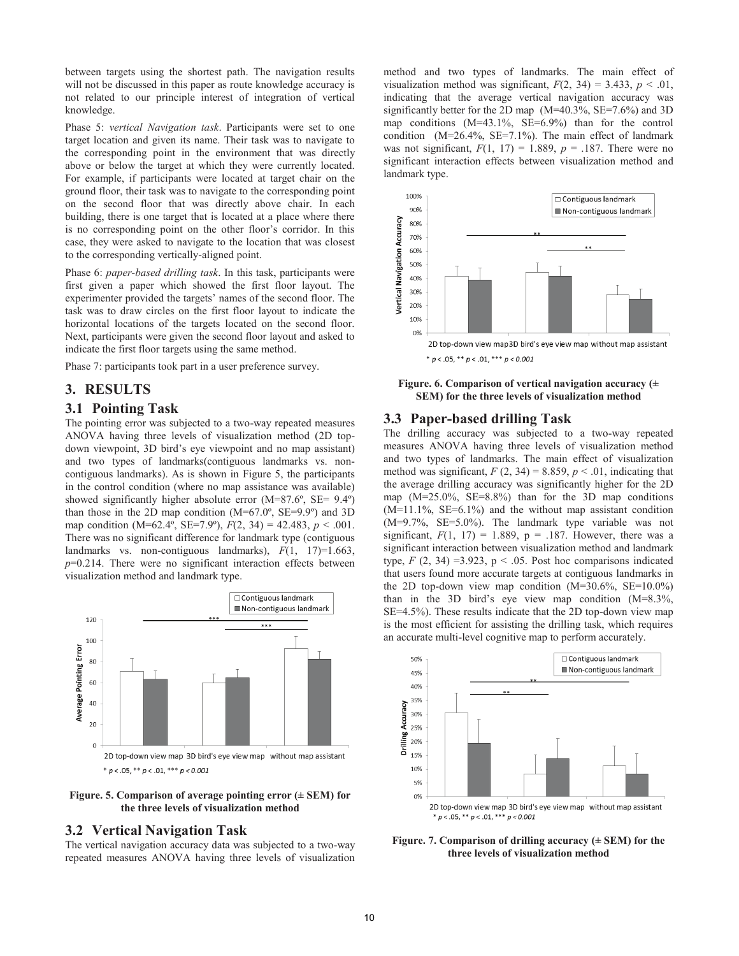between targets using the shortest path. The navigation results will not be discussed in this paper as route knowledge accuracy is not related to our principle interest of integration of vertical knowledge.

Phase 5: *vertical Navigation task*. Participants were set to one target location and given its name. Their task was to navigate to the corresponding point in the environment that was directly above or below the target at which they were currently located. For example, if participants were located at target chair on the ground floor, their task was to navigate to the corresponding point on the second floor that was directly above chair. In each building, there is one target that is located at a place where there is no corresponding point on the other floor's corridor. In this case, they were asked to navigate to the location that was closest to the corresponding vertically-aligned point.

Phase 6: *paper-based drilling task*. In this task, participants were first given a paper which showed the first floor layout. The experimenter provided the targets' names of the second floor. The task was to draw circles on the first floor layout to indicate the horizontal locations of the targets located on the second floor. Next, participants were given the second floor layout and asked to indicate the first floor targets using the same method.

Phase 7: participants took part in a user preference survey.

#### **3. RESULTS**

#### **3.1 Pointing Task**

The pointing error was subjected to a two-way repeated measures ANOVA having three levels of visualization method (2D topdown viewpoint, 3D bird's eye viewpoint and no map assistant) and two types of landmarks(contiguous landmarks vs. noncontiguous landmarks). As is shown in Figure 5, the participants in the control condition (where no map assistance was available) showed significantly higher absolute error (M=87.6º, SE= 9.4º) than those in the 2D map condition  $(M=67.0^{\circ}, \text{SE}=9.9^{\circ})$  and 3D map condition (M=62.4º, SE=7.9º), *F*(2, 34) = 42.483, *p* < .001. There was no significant difference for landmark type (contiguous landmarks vs. non-contiguous landmarks), *F*(1, 17)=1.663, *p*=0.214. There were no significant interaction effects between visualization method and landmark type.



**Figure. 5. Comparison of average pointing error (± SEM) for the three levels of visualization method** 

#### **3.2 Vertical Navigation Task**

The vertical navigation accuracy data was subjected to a two-way repeated measures ANOVA having three levels of visualization method and two types of landmarks. The main effect of visualization method was significant,  $F(2, 34) = 3.433$ ,  $p < .01$ , indicating that the average vertical navigation accuracy was significantly better for the 2D map (M=40.3%, SE=7.6%) and 3D map conditions (M=43.1%, SE=6.9%) than for the control condition (M=26.4%, SE=7.1%). The main effect of landmark was not significant,  $F(1, 17) = 1.889$ ,  $p = .187$ . There were no significant interaction effects between visualization method and landmark type.



**Figure. 6. Comparison of vertical navigation accuracy (± SEM) for the three levels of visualization method** 

#### **3.3 Paper-based drilling Task**

The drilling accuracy was subjected to a two-way repeated measures ANOVA having three levels of visualization method and two types of landmarks. The main effect of visualization method was significant,  $F(2, 34) = 8.859$ ,  $p < .01$ , indicating that the average drilling accuracy was significantly higher for the 2D map  $(M=25.0\%$ ,  $SE=8.8\%)$  than for the 3D map conditions  $(M=11.1\%$ ,  $SE=6.1\%$  and the without map assistant condition (M=9.7%, SE=5.0%). The landmark type variable was not significant,  $F(1, 17) = 1.889$ ,  $p = .187$ . However, there was a significant interaction between visualization method and landmark type,  $F(2, 34) = 3.923$ ,  $p < .05$ . Post hoc comparisons indicated that users found more accurate targets at contiguous landmarks in the 2D top-down view map condition  $(M=30.6\%$ , SE=10.0%) than in the 3D bird's eye view map condition (M=8.3%, SE=4.5%). These results indicate that the 2D top-down view map is the most efficient for assisting the drilling task, which requires an accurate multi-level cognitive map to perform accurately.



**Figure. 7. Comparison of drilling accuracy (± SEM) for the three levels of visualization method**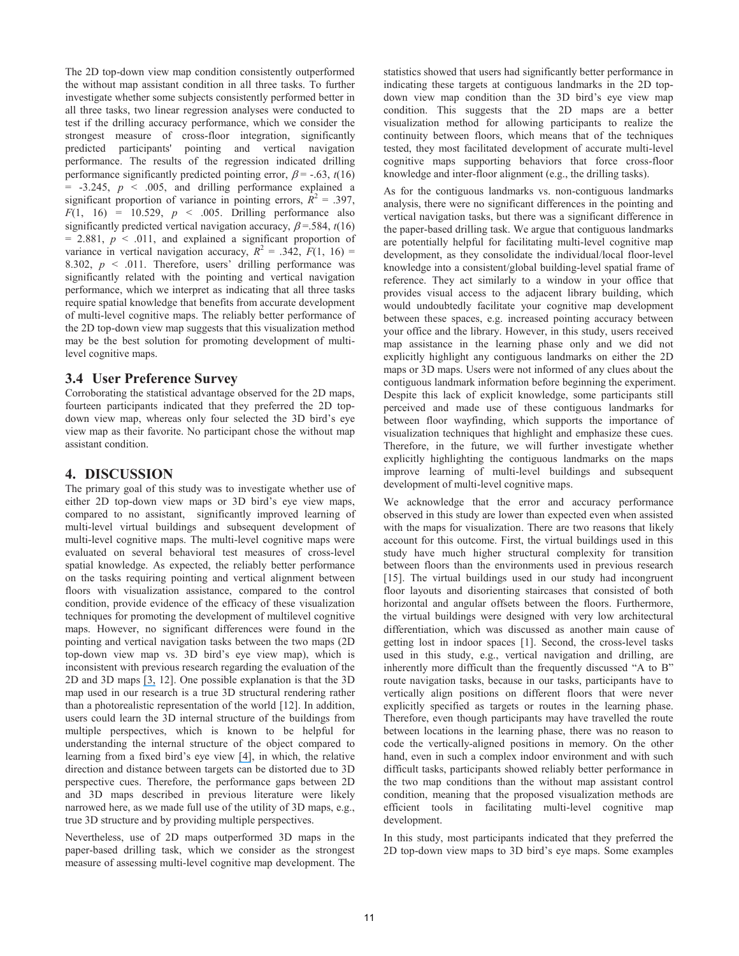The 2D top-down view map condition consistently outperformed the without map assistant condition in all three tasks. To further investigate whether some subjects consistently performed better in all three tasks, two linear regression analyses were conducted to test if the drilling accuracy performance, which we consider the strongest measure of cross-floor integration, significantly predicted participants' pointing and vertical navigation performance. The results of the regression indicated drilling performance significantly predicted pointing error,  $\beta$  = -.63, *t*(16)  $= -3.245$ ,  $p \leq .005$ , and drilling performance explained a significant proportion of variance in pointing errors,  $R^2 = .397$ ,  $F(1, 16) = 10.529$ ,  $p < .005$ . Drilling performance also significantly predicted vertical navigation accuracy,  $\beta$ =.584, *t*(16)  $= 2.881, p \leq .011$ , and explained a significant proportion of variance in vertical navigation accuracy,  $R^2 = .342$ ,  $F(1, 16) =$ 8.302,  $p \leq 0.011$ . Therefore, users' drilling performance was significantly related with the pointing and vertical navigation performance, which we interpret as indicating that all three tasks require spatial knowledge that benefits from accurate development of multi-level cognitive maps. The reliably better performance of the 2D top-down view map suggests that this visualization method may be the best solution for promoting development of multilevel cognitive maps.

#### **3.4 User Preference Survey**

Corroborating the statistical advantage observed for the 2D maps, fourteen participants indicated that they preferred the 2D topdown view map, whereas only four selected the 3D bird's eye view map as their favorite. No participant chose the without map assistant condition.

# **4. DISCUSSION**

The primary goal of this study was to investigate whether use of either 2D top-down view maps or 3D bird's eye view maps, compared to no assistant, significantly improved learning of multi-level virtual buildings and subsequent development of multi-level cognitive maps. The multi-level cognitive maps were evaluated on several behavioral test measures of cross-level spatial knowledge. As expected, the reliably better performance on the tasks requiring pointing and vertical alignment between floors with visualization assistance, compared to the control condition, provide evidence of the efficacy of these visualization techniques for promoting the development of multilevel cognitive maps. However, no significant differences were found in the pointing and vertical navigation tasks between the two maps (2D top-down view map vs. 3D bird's eye view map), which is inconsistent with previous research regarding the evaluation of the 2D and 3D maps [\[3,](https://www.researchgate.net/publication/221314365_Navigation_aids_for_multi-floor_virtual_buildings_A_comparative_evaluation_of_two_approaches?el=1_x_8&enrichId=rgreq-d869852e8b5a2b5ebe048920933b4998-XXX&enrichSource=Y292ZXJQYWdlOzI2MjM2NjAxMDtBUzoyODMwMjExNDA4NzMyMTdAMTQ0NDQ4ODkwNjI4Mw==) 12]. One possible explanation is that the 3D map used in our research is a true 3D structural rendering rather than a photorealistic representation of the world [12]. In addition, users could learn the 3D internal structure of the buildings from multiple perspectives, which is known to be helpful for understanding the internal structure of the object compared to learning from a fixed bird's eye view [\[4\]](https://www.researchgate.net/publication/227660049_Individual_Differences_in_Use_of_External_Visualisations_to_Perform_an_Internal_Visualisation_Task?el=1_x_8&enrichId=rgreq-d869852e8b5a2b5ebe048920933b4998-XXX&enrichSource=Y292ZXJQYWdlOzI2MjM2NjAxMDtBUzoyODMwMjExNDA4NzMyMTdAMTQ0NDQ4ODkwNjI4Mw==), in which, the relative direction and distance between targets can be distorted due to 3D perspective cues. Therefore, the performance gaps between 2D and 3D maps described in previous literature were likely narrowed here, as we made full use of the utility of 3D maps, e.g., true 3D structure and by providing multiple perspectives.

Nevertheless, use of 2D maps outperformed 3D maps in the paper-based drilling task, which we consider as the strongest measure of assessing multi-level cognitive map development. The statistics showed that users had significantly better performance in indicating these targets at contiguous landmarks in the 2D topdown view map condition than the 3D bird's eye view map condition. This suggests that the 2D maps are a better visualization method for allowing participants to realize the continuity between floors, which means that of the techniques tested, they most facilitated development of accurate multi-level cognitive maps supporting behaviors that force cross-floor knowledge and inter-floor alignment (e.g., the drilling tasks).

As for the contiguous landmarks vs. non-contiguous landmarks analysis, there were no significant differences in the pointing and vertical navigation tasks, but there was a significant difference in the paper-based drilling task. We argue that contiguous landmarks are potentially helpful for facilitating multi-level cognitive map development, as they consolidate the individual/local floor-level knowledge into a consistent/global building-level spatial frame of reference. They act similarly to a window in your office that provides visual access to the adjacent library building, which would undoubtedly facilitate your cognitive map development between these spaces, e.g. increased pointing accuracy between your office and the library. However, in this study, users received map assistance in the learning phase only and we did not explicitly highlight any contiguous landmarks on either the 2D maps or 3D maps. Users were not informed of any clues about the contiguous landmark information before beginning the experiment. Despite this lack of explicit knowledge, some participants still perceived and made use of these contiguous landmarks for between floor wayfinding, which supports the importance of visualization techniques that highlight and emphasize these cues. Therefore, in the future, we will further investigate whether explicitly highlighting the contiguous landmarks on the maps improve learning of multi-level buildings and subsequent development of multi-level cognitive maps.

We acknowledge that the error and accuracy performance observed in this study are lower than expected even when assisted with the maps for visualization. There are two reasons that likely account for this outcome. First, the virtual buildings used in this study have much higher structural complexity for transition between floors than the environments used in previous research [15]. The virtual buildings used in our study had incongruent floor layouts and disorienting staircases that consisted of both horizontal and angular offsets between the floors. Furthermore, the virtual buildings were designed with very low architectural differentiation, which was discussed as another main cause of getting lost in indoor spaces [1]. Second, the cross-level tasks used in this study, e.g., vertical navigation and drilling, are inherently more difficult than the frequently discussed "A to B" route navigation tasks, because in our tasks, participants have to vertically align positions on different floors that were never explicitly specified as targets or routes in the learning phase. Therefore, even though participants may have travelled the route between locations in the learning phase, there was no reason to code the vertically-aligned positions in memory. On the other hand, even in such a complex indoor environment and with such difficult tasks, participants showed reliably better performance in the two map conditions than the without map assistant control condition, meaning that the proposed visualization methods are efficient tools in facilitating multi-level cognitive map development.

In this study, most participants indicated that they preferred the 2D top-down view maps to 3D bird's eye maps. Some examples